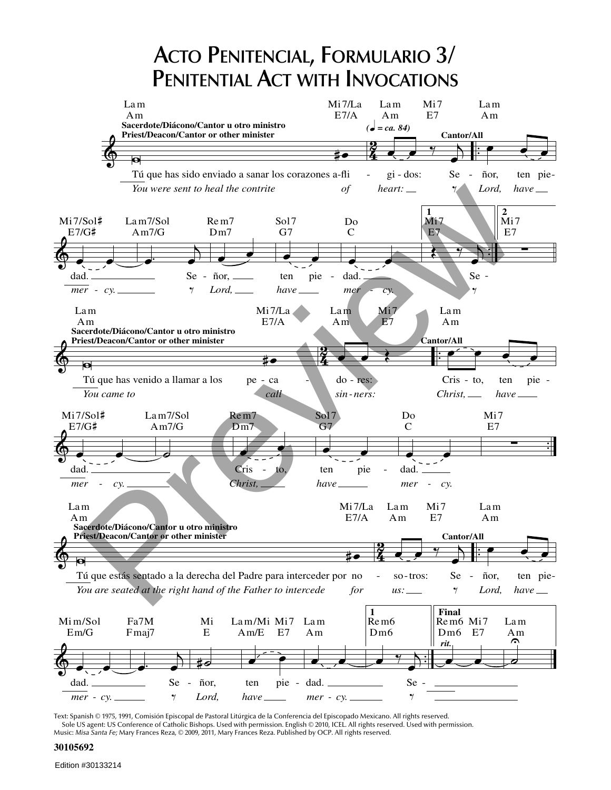# **ACTO PENITENCIAL, FORMULARIO 3/ PENITENTIAL ACT WITH INVOCATIONS**



Text: Spanish © 1975, 1991, Comisión Episcopal de Pastoral Litúrgica de la Conferencia del Episcopado Mexicano. All rights reserved. Sole US agent: US Conference of Catholic Bishops. Used with permission. English © 2010, ICEL. All rights reserved. Used with permission.<br>Music: *Misa Santa Fe; M*ary Frances Reza, © 2009, 2011, Mary Frances Reza. Publishe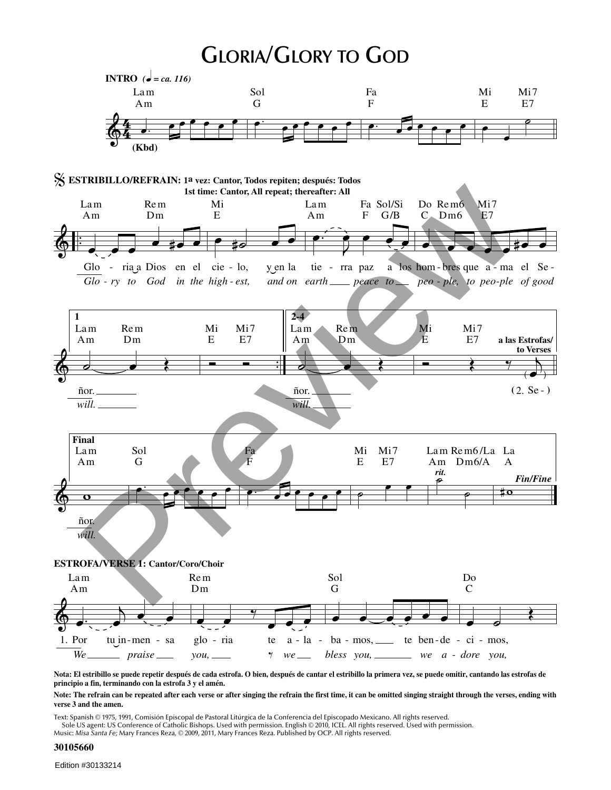#### **GLORIA/GLORY TO GOD**



Nota: El estribillo se puede repetir después de cada estrofa. O bien, después de cantar el estribillo la primera vez, se puede omitir, cantando las estrofas de **principio a fin, terminando con la estrofa 3 y el amén.**

Note: The refrain can be repeated after each verse or after singing the refrain the first time, it can be omitted singing straight through the verses, ending with **verse 3 and the amen.**

Text: Spanish © 1975, 1991, Comisión Episcopal de Pastoral Litúrgica de la Conferencia del Episcopado Mexicano. All rights reserved. Sole US agent: US Conference of Catholic Bishops. Used with permission. English © 2010, ICEL. All rights reserved. Used with permission.<br>Music: *Misa Santa Fe; M*ary Frances Reza, © 2009, 2011, Mary Frances Reza. Publishe

#### **30105660**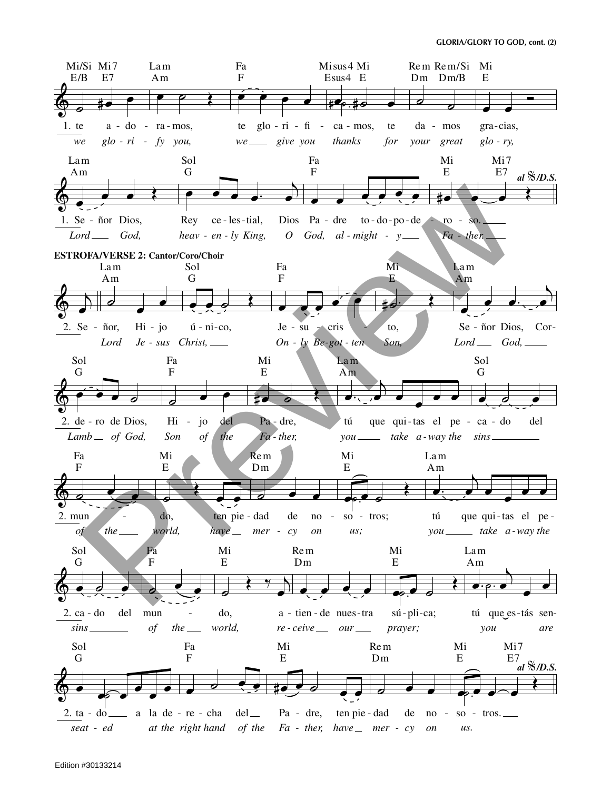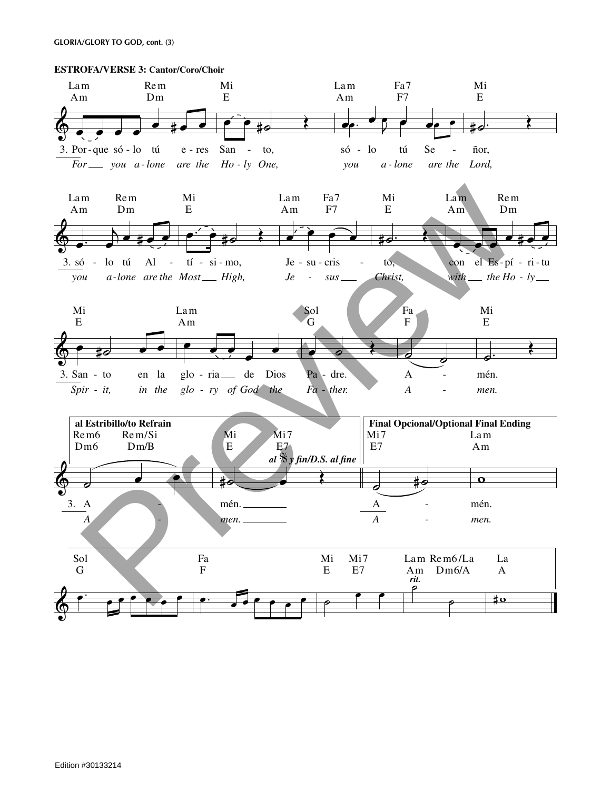**GLORIA/GLORY TO GOD, cont. (3)** 

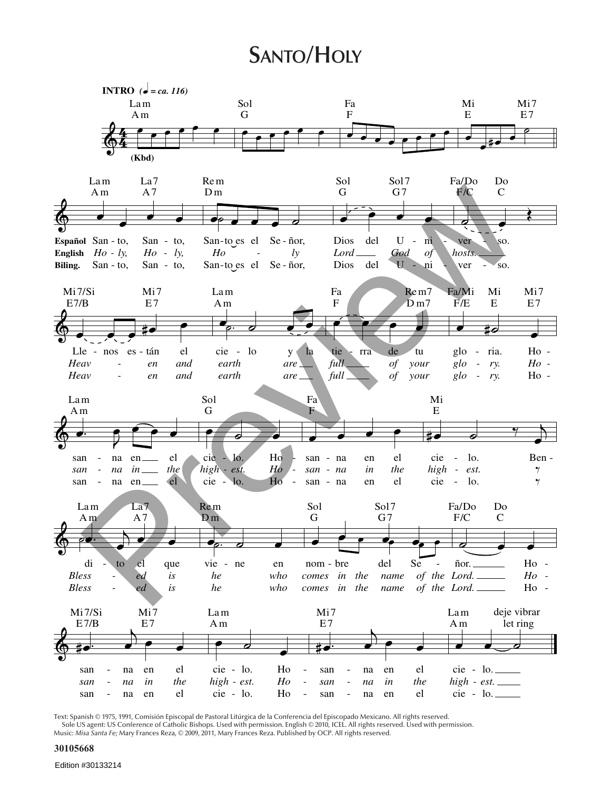# **SANTO/HOLY**



Text: Spanish © 1975, 1991, Comisión Episcopal de Pastoral Litúrgica de la Conferencia del Episcopado Mexicano. All rights reserved. Sole US agent: US Conference of Catholic Bishops. Used with permission. English © 2010, ICEL All rights reserved. Used with permission.<br>Music: *Misa Santa Fe;* Mary Frances Reza, © 2009, 2011, Mary Frances Reza. Published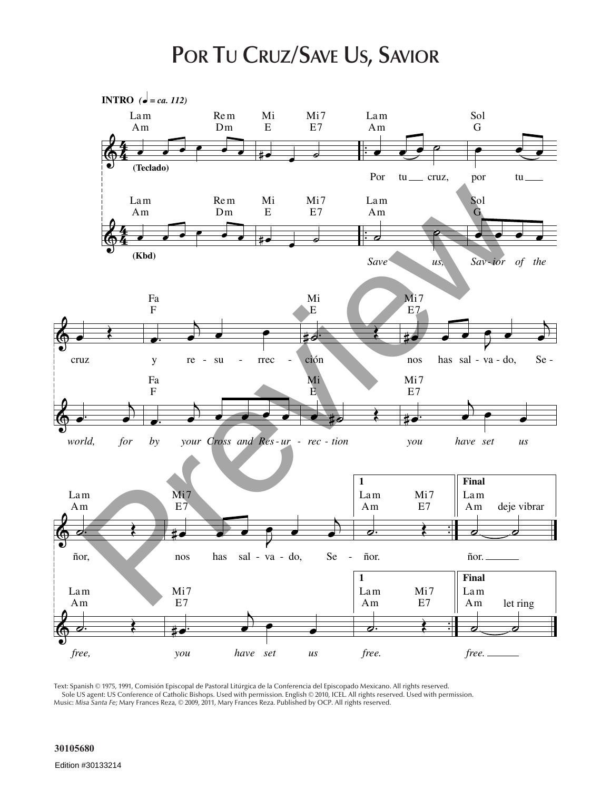#### **POR TU CRUZ/SAVE US, SAVIOR**



Text: Spanish © 1975, 1991, Comisión Episcopal de Pastoral Litúrgica de la Conferencia del Episcopado Mexicano. All rights reserved. Sole US agent: US Conference of Catholic Bishops. Used with permission. English © 2010, ICEL. All rights reserved. Used with permission. Music: *Misa Santa Fe;* Mary Frances Reza, © 2009, 2011, Mary Frances Reza. Published by OCP. All rights reserved.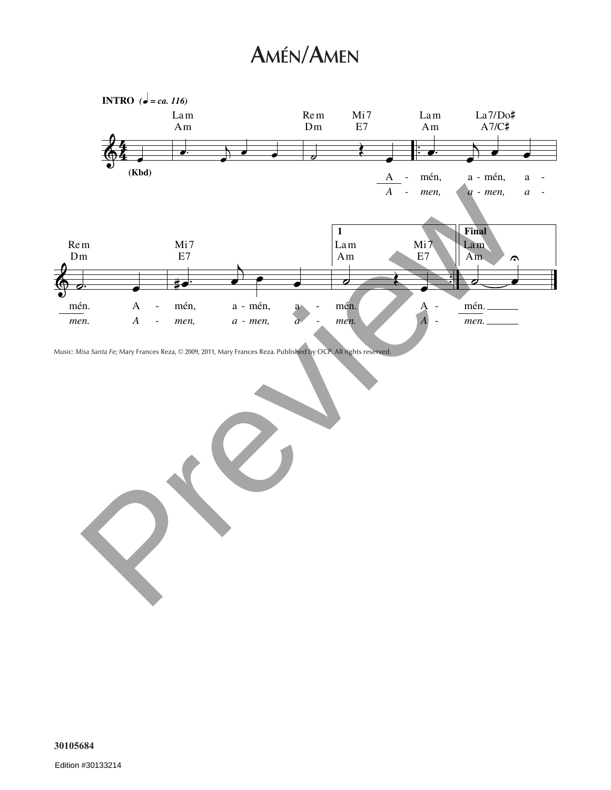# **AMÉN/AMEN**